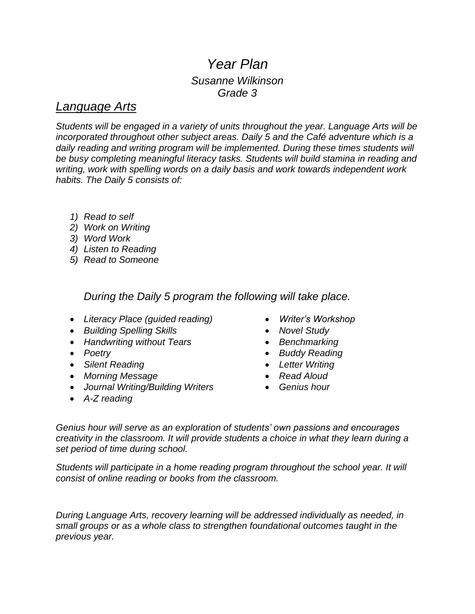# *Year Plan Susanne Wilkinson Grade 3*

### *Language Arts*

*Students will be engaged in a variety of units throughout the year. Language Arts will be incorporated throughout other subject areas. Daily 5 and the Café adventure which is a daily reading and writing program will be implemented. During these times students will be busy completing meaningful literacy tasks. Students will build stamina in reading and writing, work with spelling words on a daily basis and work towards independent work habits. The Daily 5 consists of:*

- *1) Read to self*
- *2) Work on Writing*
- *3) Word Work*
- *4) Listen to Reading*
- *5) Read to Someone*

*During the Daily 5 program the following will take place.*

- *Literacy Place (guided reading)*
- *Building Spelling Skills*
- *Handwriting without Tears*
- *Poetry*
- *Silent Reading*
- *Morning Message*
- *Journal Writing/Building Writers*
- *A-Z reading*
- *Writer's Workshop*
- *Novel Study*
- *Benchmarking*
- *Buddy Reading*
- *Letter Writing*
- *Read Aloud*
- *Genius hour*

*Genius hour will serve as an exploration of students' own passions and encourages creativity in the classroom. It will provide students a choice in what they learn during a set period of time during school.*

*Students will participate in a home reading program throughout the school year. It will consist of online reading or books from the classroom.* 

*During Language Arts, recovery learning will be addressed individually as needed, in small groups or as a whole class to strengthen foundational outcomes taught in the previous year.*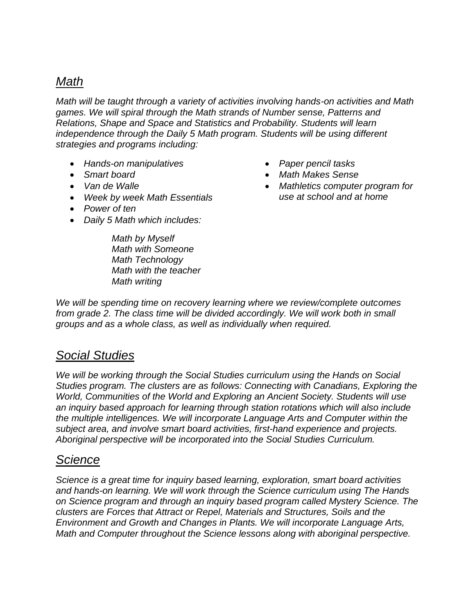# *Math*

*Math will be taught through a variety of activities involving hands-on activities and Math games. We will spiral through the Math strands of Number sense, Patterns and Relations, Shape and Space and Statistics and Probability. Students will learn independence through the Daily 5 Math program. Students will be using different strategies and programs including:*

- *Hands-on manipulatives*
- *Smart board*
- *Van de Walle*
- *Week by week Math Essentials*
- *Power of ten*
- *Daily 5 Math which includes:*

*Math by Myself Math with Someone Math Technology Math with the teacher Math writing*

- *Paper pencil tasks*
- *Math Makes Sense*
- *Mathletics computer program for use at school and at home*

*We will be spending time on recovery learning where we review/complete outcomes from grade 2. The class time will be divided accordingly. We will work both in small groups and as a whole class, as well as individually when required.*

### *Social Studies*

*We will be working through the Social Studies curriculum using the Hands on Social Studies program. The clusters are as follows: Connecting with Canadians, Exploring the World, Communities of the World and Exploring an Ancient Society. Students will use an inquiry based approach for learning through station rotations which will also include the multiple intelligences. We will incorporate Language Arts and Computer within the subject area, and involve smart board activities, first-hand experience and projects. Aboriginal perspective will be incorporated into the Social Studies Curriculum.*

#### *Science*

*Science is a great time for inquiry based learning, exploration, smart board activities and hands-on learning. We will work through the Science curriculum using The Hands on Science program and through an inquiry based program called Mystery Science. The clusters are Forces that Attract or Repel, Materials and Structures, Soils and the Environment and Growth and Changes in Plants. We will incorporate Language Arts, Math and Computer throughout the Science lessons along with aboriginal perspective.*